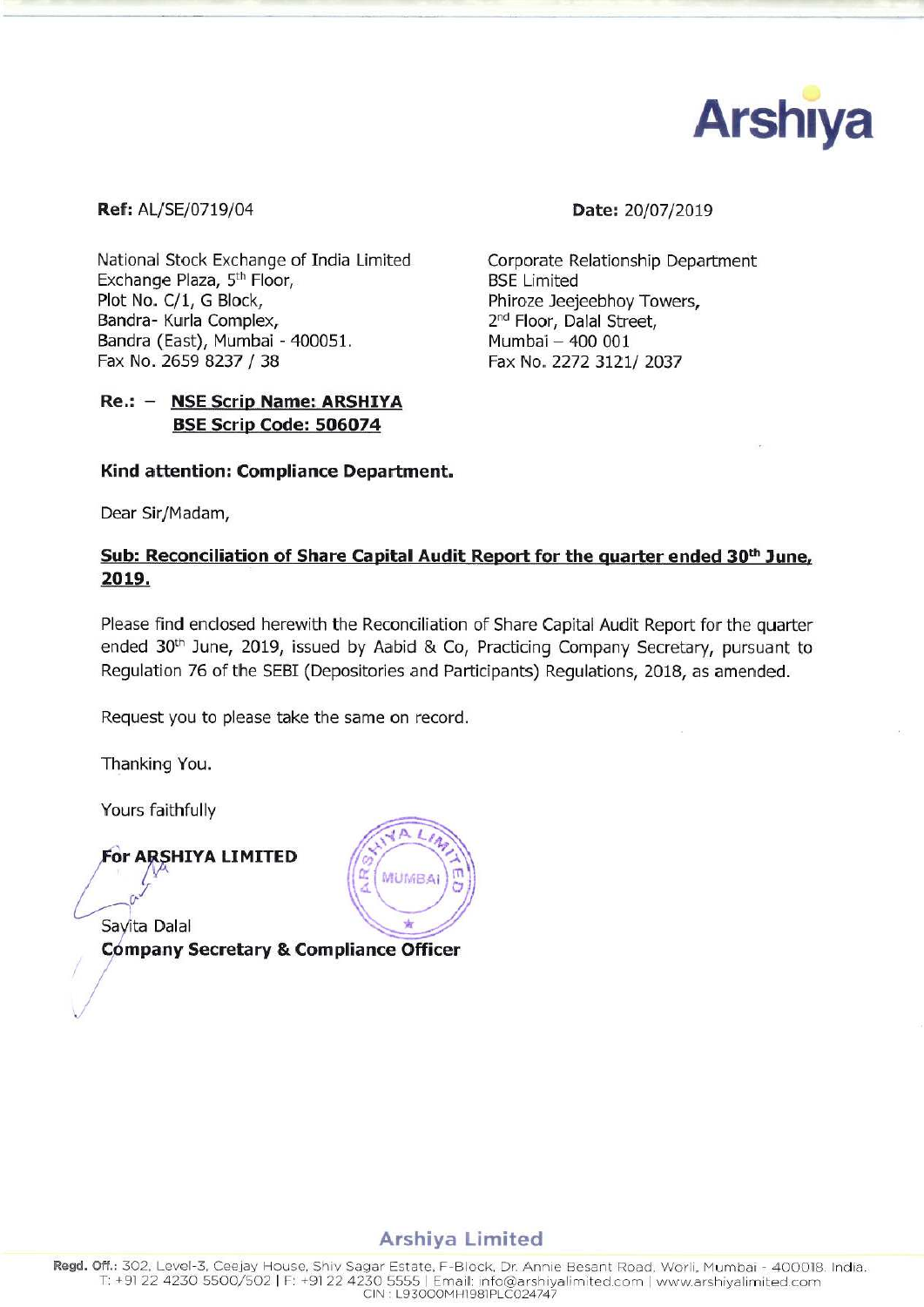

**Ref:** AL/SE/0719/04 **Date:** 20/07/2019

National Stock Exchange of India Limited Corporate Relationship Department<br>Exchange Plaza, 5<sup>th</sup> Floor. BSE Limited Exchange Plaza, 5<sup>th</sup> Floor,<br>Plot No. C/1, G Block, Bandra- Kurla Complex, Bandra (East), Mumbai - 400051.<br>Fax No. 2659 8237 / 38

# Re.: - NSE Scrip Name: ARSHIYA BSE Scrip Code: 506074

Phiroze Jeejeebhoy Towers,<br>2<sup>nd</sup> Floor, Dalal Street, 400051. Mumbai — 400 001 Fax No. 2272 3121/ 2037

## Kind attention: Compliance Department.

Dear Sir/Madam,

# Sub: Reconciliation of Share Capital Audit Report for the guarter ended 30<sup>th</sup> June, 2012.

Please find enclosed herewith the Reconciliation of Share Capital Audit Report for the quarter ended 30<sup>th</sup> June, 2019, issued by Aabid & Co, Practicing Company Secretary, pursuant to Regulation 76 of the SEBI (Depositories and Participants) Regulations, 2018, as amended.

MUMBAI

Request you to please take the same on record.

Thanking You.

Yours faithfully



Savita Dalal

 $\rightarrow$ 

/.

Company Secretary & Compliance Officer

# Arshiya Limited

Regd. Off.: 302, Level-3, Ceejay House, Shiv Sagar Estate, F-Block, Dr. Annie Besant Road, Worli, Mumbai - 400018. India T: +91 22 4230 5500/502 | F: +91 22 4230 5555 | Email: info@arshiyalimited.com | www.arshiyalimited.com ClN L93000MHl98lPLC024747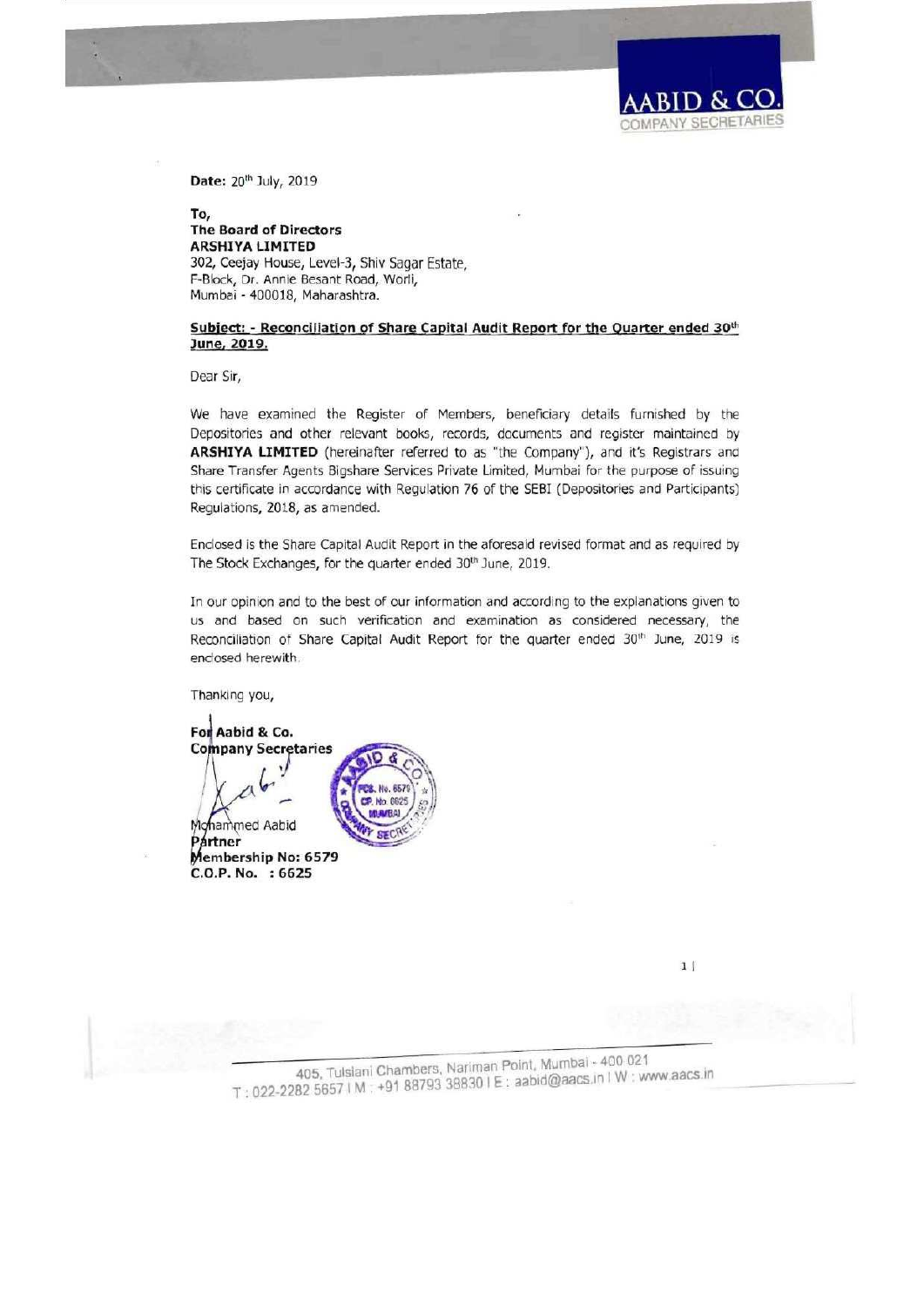Date: 20<sup>th</sup> July, 2019

To, **The Board of Directors ARSHIYA LIMITED** 302, Ceejay House, Level-3, Shiv Sagar Estate, F-Block, Dr. Annie Besant Road, Worli, Mumbai - 400018, Maharashtra.

Subject: - Reconciliation of Share Capital Audit Report for the Quarter ended 30th June, 2019.

Dear Sir,

We have examined the Register of Members, beneficiary details furnished by the Depositories and other relevant books, records, documents and register maintained by ARSHIYA LIMITED (hereinafter referred to as "the Company"), and it's Registrars and Share Transfer Agents Bigshare Services Private Limited, Mumbai for the purpose of issuing this certificate in accordance with Regulation 76 of the SEBI (Depositories and Participants) Regulations, 2018, as amended.

Enclosed is the Share Capital Audit Report in the aforesaid revised format and as required by The Stock Exchanges, for the quarter ended 30th June, 2019.

In our opinion and to the best of our information and according to the explanations given to us and based on such verification and examination as considered necessary, the Reconciliation of Share Capital Audit Report for the quarter ended 30th June, 2019 is enclosed herewith.

Thanking you,

For Aabid & Co. **Company Secretaries** Mohammed Aabid Partner

Membership No: 6579 C.O.P. No. : 6625

 $1|$ 

**MPANY SECRETAR** 

405, Tulsiani Chambers, Nariman Point, Mumbai - 400 021 T: 022-2282 5657 | M : +91 88793 38830 | E: aabid@aacs.in | W: www.aacs.in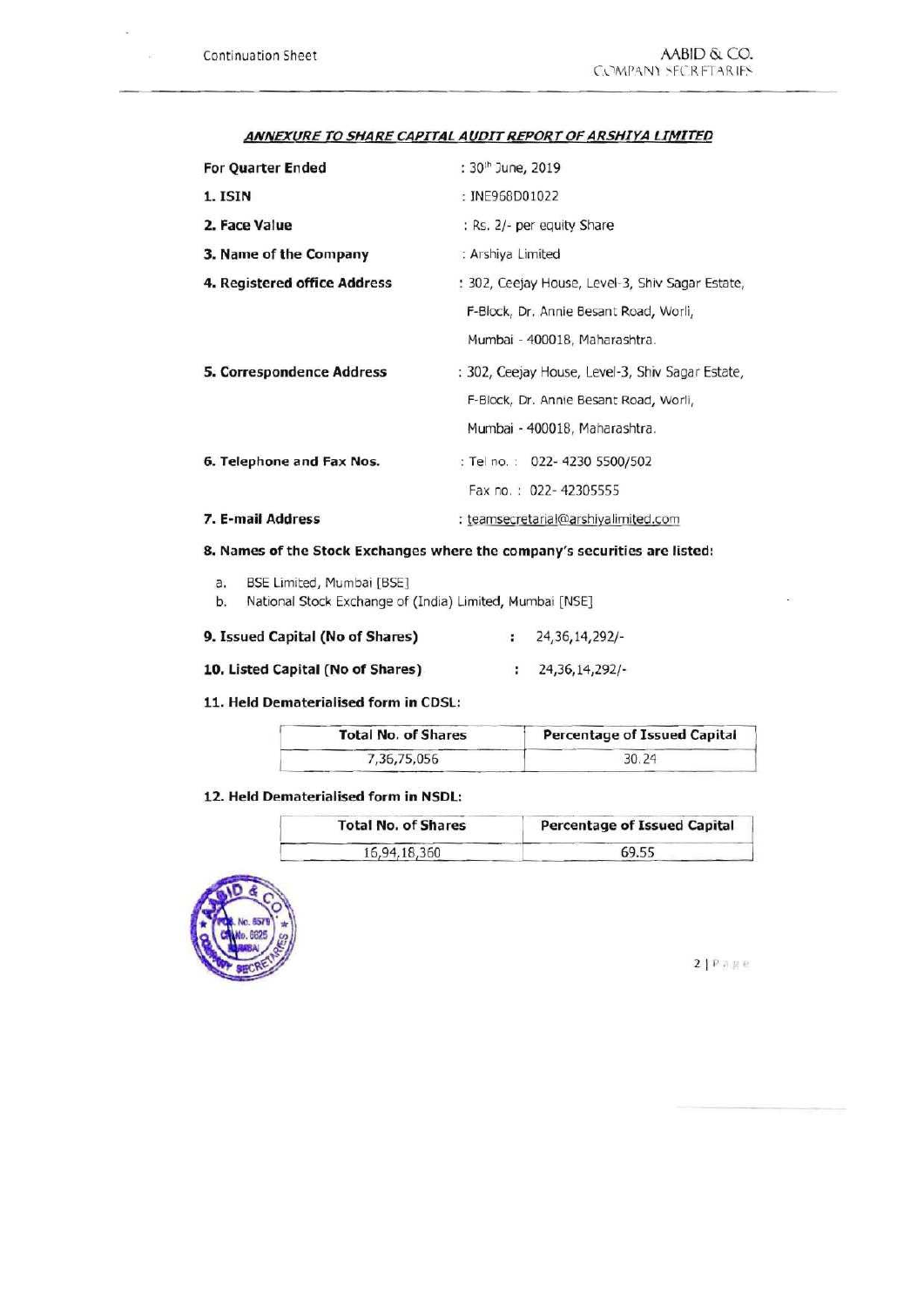sar.

| <b>For Ouarter Ended</b>     | : 30th June, 2019                                                                                                           |  |  |
|------------------------------|-----------------------------------------------------------------------------------------------------------------------------|--|--|
| 1. ISIN                      | : INE968D01022                                                                                                              |  |  |
| 2. Face Value                | : Rs. 2/- per equity Share                                                                                                  |  |  |
| 3. Name of the Company       | : Arshiya Limited                                                                                                           |  |  |
| 4. Registered office Address | : 302, Ceejay House, Level-3, Shiv Sagar Estate,                                                                            |  |  |
|                              | F-Block, Dr. Annie Besant Road, Worli,<br>Mumbai - 400018, Maharashtra.                                                     |  |  |
| 5. Correspondence Address    | : 302, Ceejay House, Level-3, Shiv Sagar Estate,<br>F-Block, Dr. Annie Besant Road, Worli,<br>Mumbai - 400018, Maharashtra. |  |  |
| 6. Telephone and Fax Nos.    | : Tel no.: 022-4230 5500/502<br>Fax no.: 022-42305555                                                                       |  |  |
| 7. E-mail Address            | : teamsecretarial@arshiyalimited.com                                                                                        |  |  |

#### ANNEXURE TO SHARE CAPITAL AUDIT REPORT OF ARSHIYA LIMITED

## 8. Names of the Stock Exchanges where the company's securities are listed:

| BSE Limited, Mumbai [BSE]<br>а. |
|---------------------------------|
|---------------------------------|

b. National Stock Exchange of (India) Limited, Mumbai [NSE]

| 9. Issued Capital (No of Shares)  | 24, 36, 14, 292/- |
|-----------------------------------|-------------------|
| 10. Listed Capital (No of Shares) | : 24,36,14,292/   |

#### 11. Held Dematerialised form in CDSL:

| <b>Total No. of Shares</b> | Percentage of Issued Capital |  |  |
|----------------------------|------------------------------|--|--|
| 7,36,75,056                | 30.24                        |  |  |

## 12. Held Dematerialised form in NSDL:

| <b>Total No. of Shares</b> | <b>Percentage of Issued Capital</b> |  |
|----------------------------|-------------------------------------|--|
| 16,94,18,360               | 69.55                               |  |



 $21P$ age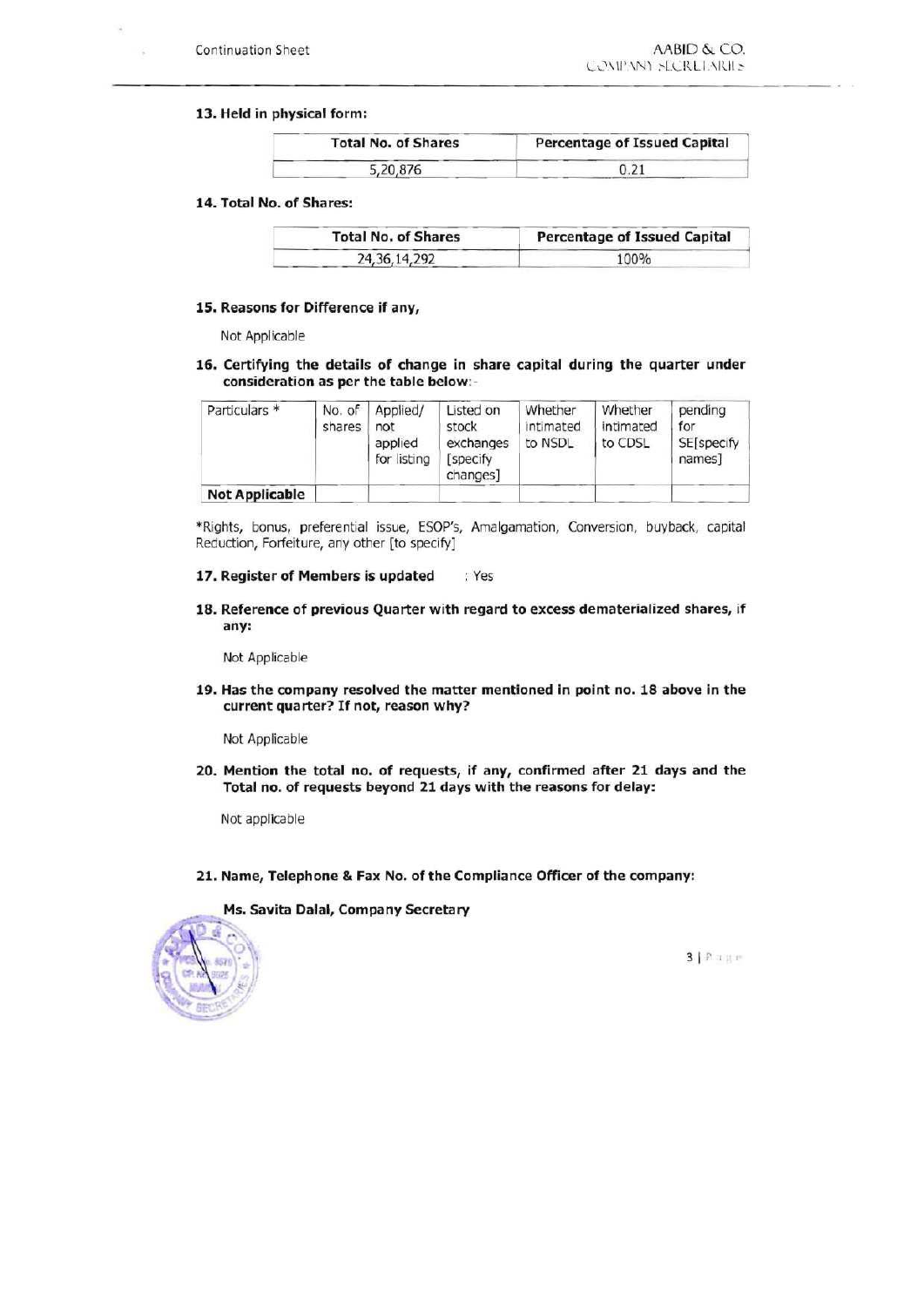#### 13. Held in physical form:

| <b>Total No. of Shares</b> | Percentage of Issued Capital |  |  |
|----------------------------|------------------------------|--|--|
| 5,20,876                   |                              |  |  |

#### 14. Total No. of Shares:

| <b>Total No. of Shares</b> | Percentage of Issued Capital |  |  |
|----------------------------|------------------------------|--|--|
| 24, 36, 14, 292            | 100%                         |  |  |

#### 15. Reasons for Difference if any,

Not Applicabie

16. Certifying the details of change in share capital during the quarter under consideration as per the table below:-

| Particulars *         | No. of<br>shares | Applied/<br>not<br>applied<br>for listing | Listed on<br>stock<br>exchanges<br><b>Specify</b><br>changes] | Whether<br>intimated<br>to NSDL | Whether<br>intimated<br>to CDSL | pending<br>for<br><b>SE[specify</b><br>names] |
|-----------------------|------------------|-------------------------------------------|---------------------------------------------------------------|---------------------------------|---------------------------------|-----------------------------------------------|
| <b>Not Applicable</b> |                  |                                           |                                                               |                                 |                                 |                                               |

"Rights, bonus, preferential issue, ESOP'S, Amaigamation, Conversion, buyback, capitai Reduction, Forfeiture, any other [to specify]

#### 17. Register of Members is updated . Yes

18. Reference of previous Quarter with regard to excess dematerialized shares, if any:

Not Applicable

19. Has the company resolved the matter mentioned in point no. 18 above in the current quarter? If not, reason why?

Not Applicable

20. Mention the total no. of requests, if any, confirmed after 21 days and the Total no. of requests beyond <sup>21</sup> days with the reasons for delay:

Not applicabie

21. Name, Telephone & Fax No. of the Compliance Officer of the company:

Ms. Savita Dalal, Company Secretary



3 | P.uge